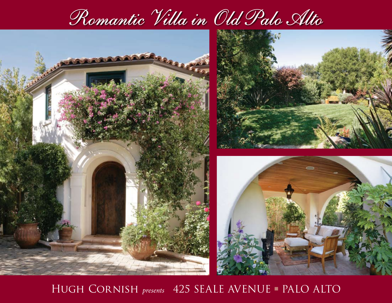



HUGH CORNISH *presents* 425 SEALE AVENUE - PALO ALTO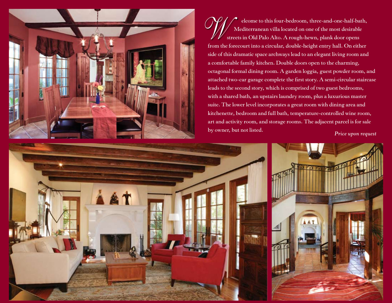

 **elcome to this four-bedroom, three-and-one-half-bath, Mediterranean villa located on one of the most desirable streets in Old Palo Alto. A rough-hewn, plank door opens from the forecourt into a circular, double-height entry hall. On either side of this dramatic space archways lead to an elegant living room and a comfortable family kitchen. Double doors open to the charming, octagonal formal dining room. A garden loggia, guest powder room, and attached two-car garage complete the first story. A semi-circular staircase leads to the second story, which is comprised of two guest bedrooms, with a shared bath, an upstairs laundry room, plus a luxurious master suite. The lower level incorporates a great room with dining area and kitchenette, bedroom and full bath, temperature-controlled wine room, art and activity room, and storage rooms. The adjacent parcel is for sale by owner, but not listed.** *Price upon request*

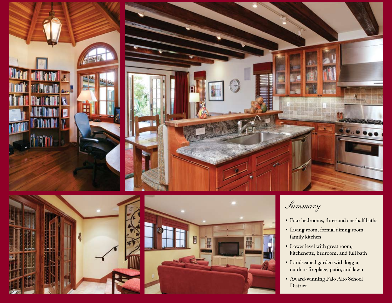



## *Summary*

- **• Four bedrooms, three and one-half baths**
- **• Living room, formal dining room, family kitchen**
- **• Lower level with great room, kitchenette, bedroom, and full bath**
- **• Landscaped garden with loggia, outdoor fireplace, patio, and lawn**
- **• Award-winning Palo Alto School District**